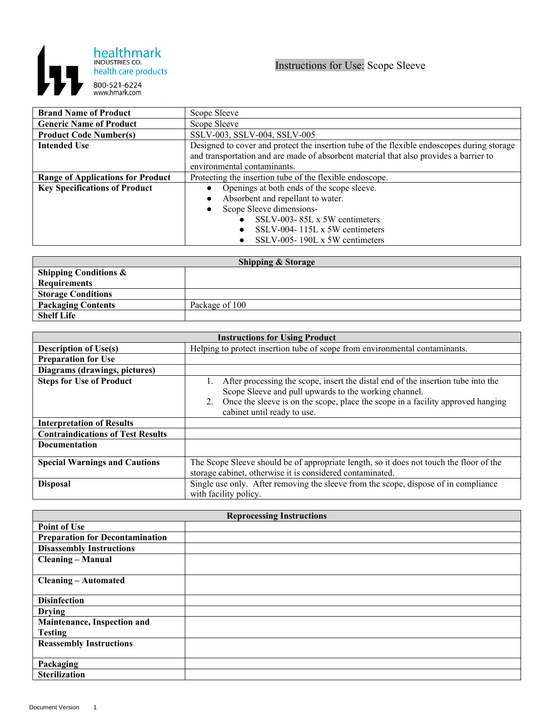

| <b>Brand Name of Product</b>             | Scope Sleeve                                                                               |
|------------------------------------------|--------------------------------------------------------------------------------------------|
| <b>Generic Name of Product</b>           | Scope Sleeve                                                                               |
| <b>Product Code Number(s)</b>            | SSLV-003, SSLV-004, SSLV-005                                                               |
| <b>Intended Use</b>                      | Designed to cover and protect the insertion tube of the flexible endoscopes during storage |
|                                          | and transportation and are made of absorbent material that also provides a barrier to      |
|                                          | environmental contaminants.                                                                |
| <b>Range of Applications for Product</b> | Protecting the insertion tube of the flexible endoscope.                                   |
| <b>Key Specifications of Product</b>     | Openings at both ends of the scope sleeve.                                                 |
|                                          | Absorbent and repellant to water.                                                          |
|                                          | Scope Sleeve dimensions-                                                                   |
|                                          | SSLV-003-85L x 5W centimeters                                                              |
|                                          | SSLV-004-115L $x$ 5W centimeters                                                           |
|                                          | SSLV-005-190L x 5W centimeters                                                             |

| <b>Shipping &amp; Storage</b>    |                |  |
|----------------------------------|----------------|--|
| <b>Shipping Conditions &amp;</b> |                |  |
| <b>Requirements</b>              |                |  |
| <b>Storage Conditions</b>        |                |  |
| <b>Packaging Contents</b>        | Package of 100 |  |
| <b>Shelf Life</b>                |                |  |

| <b>Instructions for Using Product</b>    |                                                                                                                                                                                                                                                                   |  |
|------------------------------------------|-------------------------------------------------------------------------------------------------------------------------------------------------------------------------------------------------------------------------------------------------------------------|--|
| <b>Description of Use(s)</b>             | Helping to protect insertion tube of scope from environmental contaminants.                                                                                                                                                                                       |  |
| <b>Preparation for Use</b>               |                                                                                                                                                                                                                                                                   |  |
| Diagrams (drawings, pictures)            |                                                                                                                                                                                                                                                                   |  |
| <b>Steps for Use of Product</b>          | After processing the scope, insert the distal end of the insertion tube into the<br>Scope Sleeve and pull upwards to the working channel.<br>Once the sleeve is on the scope, place the scope in a facility approved hanging<br>2.<br>cabinet until ready to use. |  |
| <b>Interpretation of Results</b>         |                                                                                                                                                                                                                                                                   |  |
| <b>Contraindications of Test Results</b> |                                                                                                                                                                                                                                                                   |  |
| <b>Documentation</b>                     |                                                                                                                                                                                                                                                                   |  |
| <b>Special Warnings and Cautions</b>     | The Scope Sleeve should be of appropriate length, so it does not touch the floor of the<br>storage cabinet, otherwise it is considered contaminated.                                                                                                              |  |
| <b>Disposal</b>                          | Single use only. After removing the sleeve from the scope, dispose of in compliance<br>with facility policy.                                                                                                                                                      |  |

| <b>Reprocessing Instructions</b>       |  |  |
|----------------------------------------|--|--|
| <b>Point of Use</b>                    |  |  |
| <b>Preparation for Decontamination</b> |  |  |
| <b>Disassembly Instructions</b>        |  |  |
| <b>Cleaning – Manual</b>               |  |  |
|                                        |  |  |
| <b>Cleaning – Automated</b>            |  |  |
|                                        |  |  |
| <b>Disinfection</b>                    |  |  |
| <b>Drying</b>                          |  |  |
| Maintenance, Inspection and            |  |  |
| <b>Testing</b>                         |  |  |
| <b>Reassembly Instructions</b>         |  |  |
|                                        |  |  |
| Packaging                              |  |  |
| <b>Sterilization</b>                   |  |  |